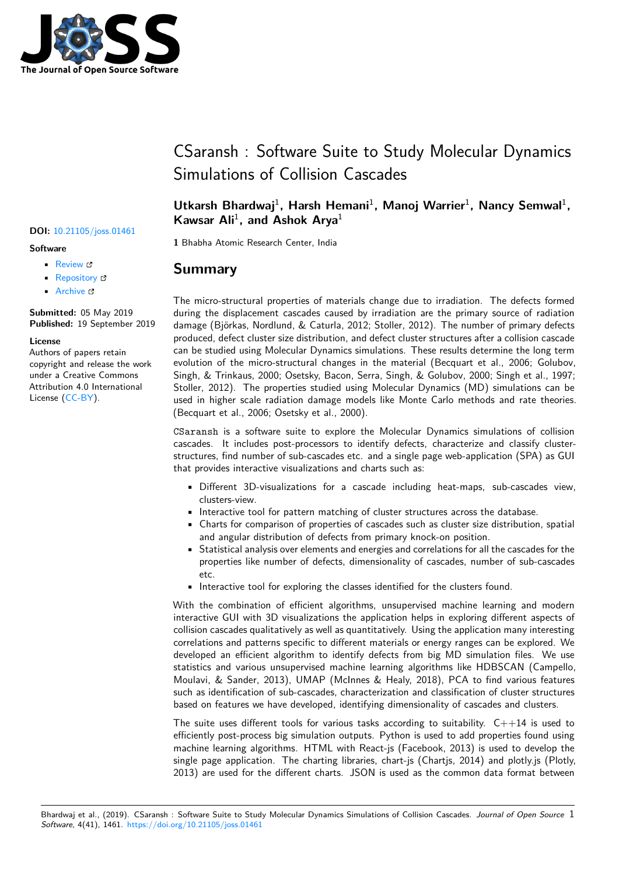

# CSaransh : Software Suite to Study Molecular Dynamics Simulations of Collision Cascades

## Utkarsh Bhardwaj<sup>1</sup>, Harsh Hemani<sup>1</sup>, Manoj Warrier<sup>1</sup>, Nancy Semwal<sup>1</sup>, Kawsar Ali<sup>1</sup>, and Ashok Arya<sup>1</sup>

**1** Bhabha Atomic Research Center, India

## **Summary**

The micro-structural properties of materials change due to irradiation. The defects formed during the displacement cascades caused by irradiation are the primary source of radiation damage (Björkas, Nordlund, & Caturla, 2012; Stoller, 2012). The number of primary defects produced, defect cluster size distribution, and defect cluster structures after a collision cascade can be studied using Molecular Dynamics simulations. These results determine the long term evolution of the micro-structural changes in the material (Becquart et al., 2006; Golubov, Singh, & Trinkaus, 2000; Osetsky, Bacon, Serra, Singh, & Golubov, 2000; Singh et al., 1997; Stoller, 2012). The properties studied using Molecular Dynamics (MD) simulations can be used in higher scale radiation damage models like Monte Carlo methods and rate theories. (Becquart et al., 2006; Osetsky et al., 2000).

CSaransh is a software suite to explore the Molecular Dynamics simulations of collision cascades. It includes post-processors to identify defects, characterize and classify clusterstructures, find number of sub-cascades etc. and a single page web-application (SPA) as GUI that provides interactive visualizations and charts such as:

- Different 3D-visualizations for a cascade including heat-maps, sub-cascades view, clusters-view.
- Interactive tool for pattern matching of cluster structures across the database.
- Charts for comparison of properties of cascades such as cluster size distribution, spatial and angular distribution of defects from primary knock-on position.
- Statistical analysis over elements and energies and correlations for all the cascades for the properties like number of defects, dimensionality of cascades, number of sub-cascades etc.
- Interactive tool for exploring the classes identified for the clusters found.

With the combination of efficient algorithms, unsupervised machine learning and modern interactive GUI with 3D visualizations the application helps in exploring different aspects of collision cascades qualitatively as well as quantitatively. Using the application many interesting correlations and patterns specific to different materials or energy ranges can be explored. We developed an efficient algorithm to identify defects from big MD simulation files. We use statistics and various unsupervised machine learning algorithms like HDBSCAN (Campello, Moulavi, & Sander, 2013), UMAP (McInnes & Healy, 2018), PCA to find various features such as identification of sub-cascades, characterization and classification of cluster structures based on features we have developed, identifying dimensionality of cascades and clusters.

The suite uses different tools for various tasks according to suitability.  $C++14$  is used to efficiently post-process big simulation outputs. Python is used to add properties found using machine learning algorithms. HTML with React-js (Facebook, 2013) is used to develop the single page application. The charting libraries, chart-js (Chartjs, 2014) and plotly.js (Plotly, 2013) are used for the different charts. JSON is used as the common data format between

### **DOI:** 10.21105/joss.01461

#### **Software**

- Review C
- [Repository](https://doi.org/10.21105/joss.01461) &
- Archive

**Subm[itted:](https://github.com/openjournals/joss-reviews/issues/1461)** 05 May 2019 **Published:** [19 Se](https://github.com/haptork/csaransh)ptember 2019

#### **Licen[se](https://doi.org/10.5281/zenodo.3434635)**

Authors of papers retain copyright and release the work under a Creative Commons Attribution 4.0 International License (CC-BY).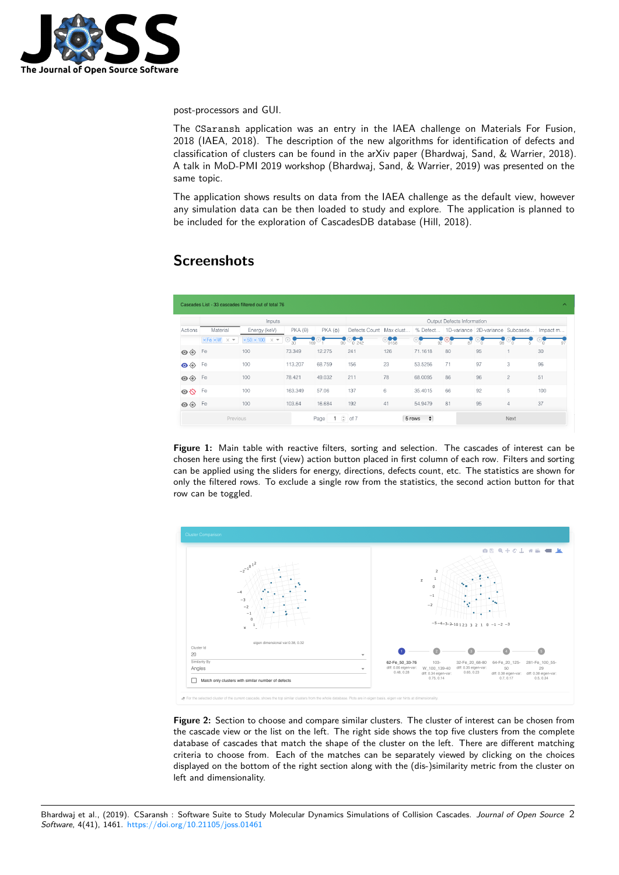

post-processors and GUI.

The CSaransh application was an entry in the IAEA challenge on Materials For Fusion, 2018 (IAEA, 2018). The description of the new algorithms for identification of defects and classification of clusters can be found in the arXiv paper (Bhardwaj, Sand, & Warrier, 2018). A talk in MoD-PMI 2019 workshop (Bhardwaj, Sand, & Warrier, 2019) was presented on the same topic.

The application shows results on data from the IAEA challenge as the default view, however any simulation data can be then loaded to study and explore. The application is planned to be included for the exploration of CascadesDB database (Hill, 2018).

# **Screenshots**

|                                   |                                    | Cascades List - 33 cascades filtered out of total 76                  |                        |                                              |                            |              |                  |          |    |                                           | $\sim$ |  |
|-----------------------------------|------------------------------------|-----------------------------------------------------------------------|------------------------|----------------------------------------------|----------------------------|--------------|------------------|----------|----|-------------------------------------------|--------|--|
|                                   | Inputs                             |                                                                       |                        |                                              | Output Defects Information |              |                  |          |    |                                           |        |  |
| Actions                           | Material                           | Energy (keV)                                                          | $PKA(\theta)$          | $PKA(\varphi)$                               | Defects Count              | Max clust    | % Defect         |          |    | 1D-variance 2D-variance Subcasde Impact m |        |  |
|                                   | $xFe$ $\times$ W $\times$ $\times$ | $\times 50 \times 100$<br>$\times$ $\hspace{0.1mm}\blacktriangledown$ | 30 <sub>0</sub><br>169 | 90                                           | −<br>0.242                 | 10-0<br>0158 | 92               | 'n<br>87 | 98 |                                           | 97     |  |
| $\circ\circ$                      | Fe                                 | 100                                                                   | 73.349                 | 12.275                                       | 241                        | 126          | 71.1618          | 80       | 95 |                                           | 30     |  |
| $\bullet\textcolor{red}{\bullet}$ | Fe                                 | 100                                                                   | 113.207                | 68.759                                       | 156                        | 23           | 53.5256          | 71       | 97 | 3                                         | 96     |  |
| $\odot$                           | Fe                                 | 100                                                                   | 78.421                 | 49.032                                       | 211                        | 78           | 68.0095          | 86       | 96 | $\overline{c}$                            | 51     |  |
| $\bullet$                         | Fe                                 | 100                                                                   | 163.349                | 57.06                                        | 137                        | 6            | 35.4015          | 66       | 92 | 5                                         | 100    |  |
| $\odot$                           | Fe                                 | 100                                                                   | 103.64                 | 16.684                                       | 192                        | 41           | 54.9479          | 81       | 95 | $\overline{4}$                            | 37     |  |
| Previous                          |                                    |                                                                       |                        | $\mathbf{C}$<br>Page<br>of 7<br>$\mathbf{1}$ |                            |              | 5 rows<br>$\div$ |          |    | Next                                      |        |  |

**Figure 1:** Main table with reactive filters, sorting and selection. The cascades of interest can be chosen here using the first (view) action button placed in first column of each row. Filters and sorting can be applied using the sliders for energy, directions, defects count, etc. The statistics are shown for only the filtered rows. To exclude a single row from the statistics, the second action button for that row can be toggled.



**Figure 2:** Section to choose and compare similar clusters. The cluster of interest can be chosen from the cascade view or the list on the left. The right side shows the top five clusters from the complete database of cascades that match the shape of the cluster on the left. There are different matching criteria to choose from. Each of the matches can be separately viewed by clicking on the choices displayed on the bottom of the right section along with the (dis-)similarity metric from the cluster on left and dimensionality.

Bhardwaj et al., (2019). CSaransh : Software Suite to Study Molecular Dynamics Simulations of Collision Cascades. *Journal of Open Source* 2*Software*, 4(41), 1461. https://doi.org/10.21105/joss.01461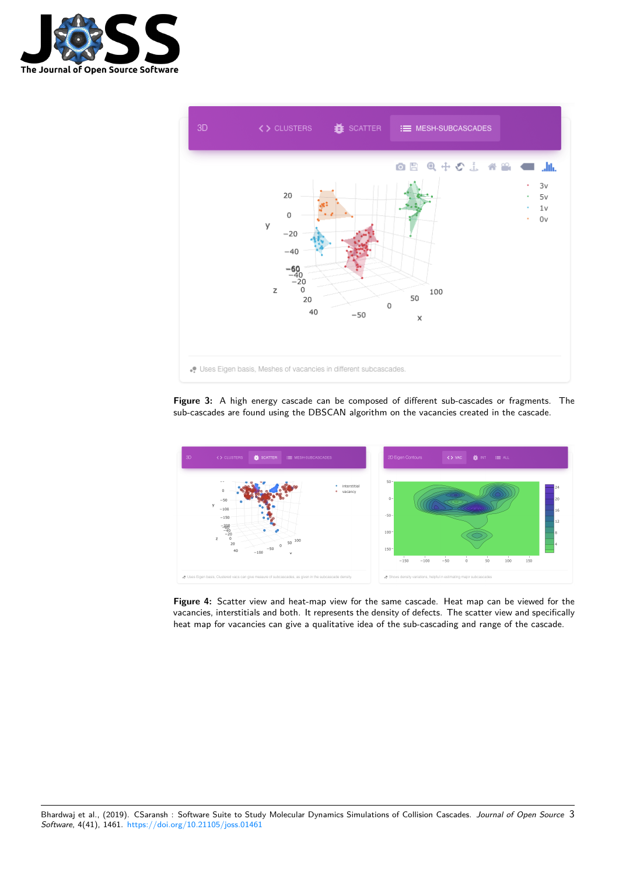



**Figure 3:** A high energy cascade can be composed of different sub-cascades or fragments. The sub-cascades are found using the DBSCAN algorithm on the vacancies created in the cascade.



**Figure 4:** Scatter view and heat-map view for the same cascade. Heat map can be viewed for the vacancies, interstitials and both. It represents the density of defects. The scatter view and specifically heat map for vacancies can give a qualitative idea of the sub-cascading and range of the cascade.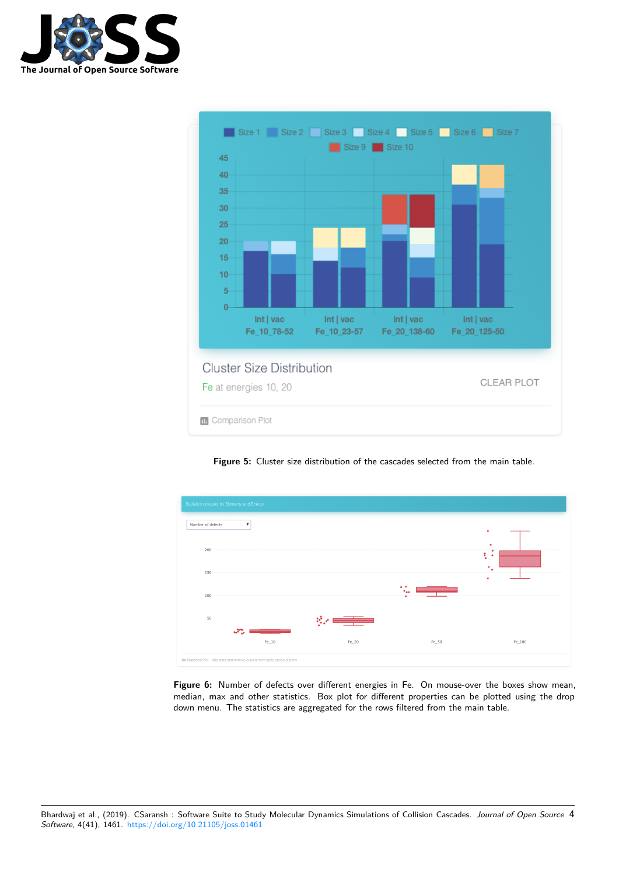



**Figure 5:** Cluster size distribution of the cascades selected from the main table.



**Figure 6:** Number of defects over different energies in Fe. On mouse-over the boxes show mean, median, max and other statistics. Box plot for different properties can be plotted using the drop down menu. The statistics are aggregated for the rows filtered from the main table.

Bhardwaj et al., (2019). CSaransh : Software Suite to Study Molecular Dynamics Simulations of Collision Cascades. *Journal of Open Source* 4*Software*, 4(41), 1461. https://doi.org/10.21105/joss.01461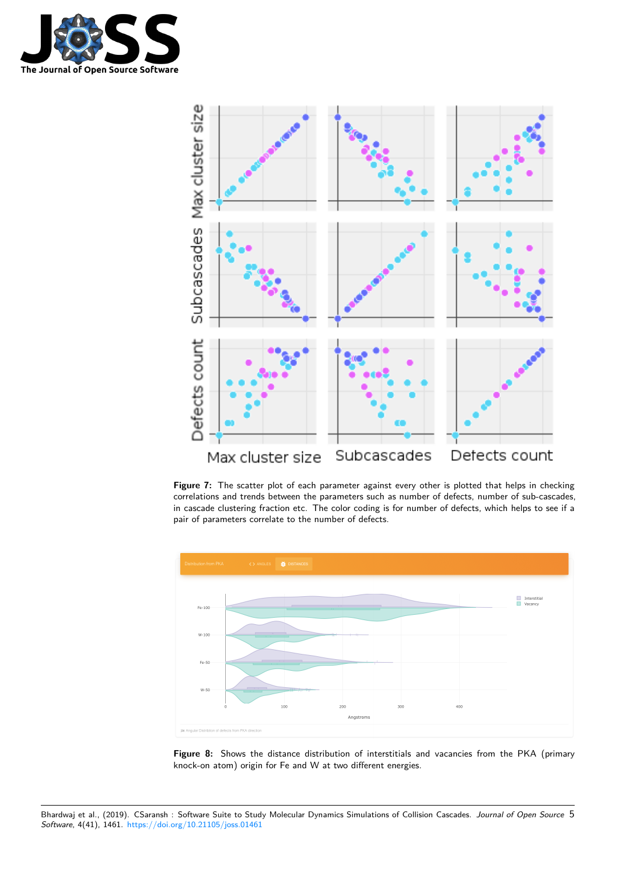



**Figure 7:** The scatter plot of each parameter against every other is plotted that helps in checking correlations and trends between the parameters such as number of defects, number of sub-cascades, in cascade clustering fraction etc. The color coding is for number of defects, which helps to see if a pair of parameters correlate to the number of defects.



**Figure 8:** Shows the distance distribution of interstitials and vacancies from the PKA (primary knock-on atom) origin for Fe and W at two different energies.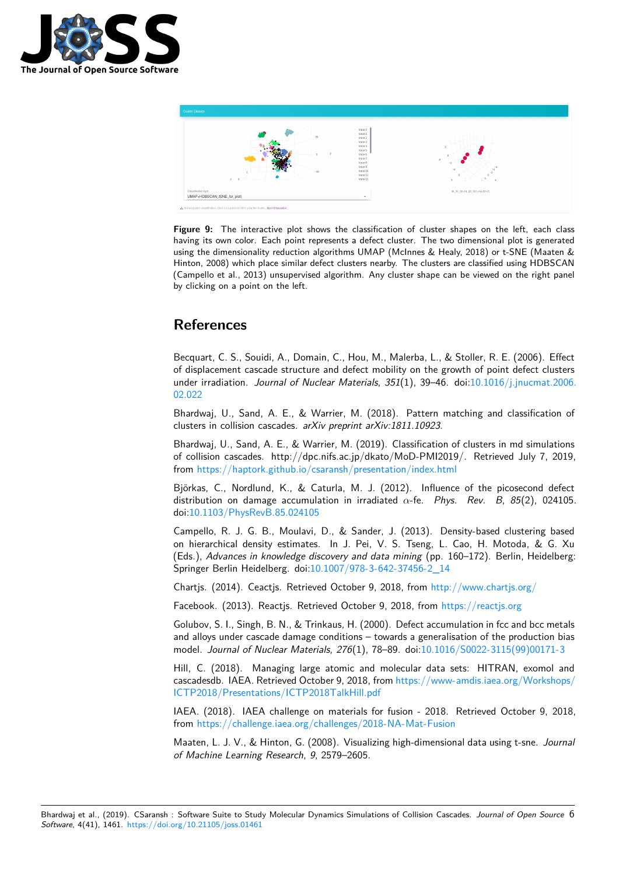



Figure 9: The interactive plot shows the classification of cluster shapes on the left, each class having its own color. Each point represents a defect cluster. The two dimensional plot is generated using the dimensionality reduction algorithms UMAP (McInnes & Healy, 2018) or t-SNE (Maaten & Hinton, 2008) which place similar defect clusters nearby. The clusters are classified using HDBSCAN (Campello et al., 2013) unsupervised algorithm. Any cluster shape can be viewed on the right panel by clicking on a point on the left.

# **References**

Becquart, C. S., Souidi, A., Domain, C., Hou, M., Malerba, L., & Stoller, R. E. (2006). Effect of displacement cascade structure and defect mobility on the growth of point defect clusters under irradiation. *Journal of Nuclear Materials*, *351*(1), 39–46. doi:10.1016/j.jnucmat.2006. 02.022

Bhardwaj, U., Sand, A. E., & Warrier, M. (2018). Pattern matching and classification of clusters in collision cascades. *arXiv preprint arXiv:1811.10923*.

[Bhardw](https://doi.org/10.1016/j.jnucmat.2006.02.022)aj, U., Sand, A. E., & Warrier, M. (2019). Classification of c[lusters in md simulations](https://doi.org/10.1016/j.jnucmat.2006.02.022) of collision cascades. http://dpc.nifs.ac.jp/dkato/MoD-PMI2019/. Retrieved July 7, 2019, from https://haptork.github.io/csaransh/presentation/index.html

Björkas, C., Nordlund, K., & Caturla, M. J. (2012). Influence of the picosecond defect distribution on damage accumulation in irradiated *α*-fe. *Phys. Rev. B*, *85*(2), 024105. doi:1[0.1103/PhysRevB.85.024105](https://haptork.github.io/csaransh/presentation/index.html)

Campello, R. J. G. B., Moulavi, D., & Sander, J. (2013). Density-based clustering based on hierarchical density estimates. In J. Pei, V. S. Tseng, L. Cao, H. Motoda, & G. Xu (Eds.), *Advances in knowledge discovery and data mining* (pp. 160–172). Berlin, Heidelberg: Spr[inger Berlin Heidelberg. doi:10](https://doi.org/10.1103/PhysRevB.85.024105).1007/978-3-642-37456-2\_14

Chartjs. (2014). Ceactjs. Retrieved October 9, 2018, from http://www.chartjs.org/

Facebook. (2013). Reactjs. Retrieved October 9, 2018, from https://reactjs.org

Golubov, S. I., Singh, B. N., & [Trinkaus, H. \(2000\). Defect accum](https://doi.org/10.1007/978-3-642-37456-2_14)ulation in fcc and bcc metals and alloys under cascade damage conditions – towards a ge[neralisation of the produc](%20http://www.chartjs.org/)tion bias model. *Journal of Nuclear Materials*, *276*(1), 78–89. doi:10.1[016/S0022-3115\(99](https://reactjs.org))00171-3

Hill, C. (2018). Managing large atomic and molecular data sets: HITRAN, exomol and cascadesdb. IAEA. Retrieved October 9, 2018, from https://www-amdis.iaea.org/Workshops/ ICTP2018/Presentations/ICTP2018TalkHill.pdf

IAEA. (2018). IAEA challenge on materials for fusion - [2018. Retrieved October 9, 201](https://doi.org/10.1016/S0022-3115(99)00171-3)8, from https://challenge.iaea.org/challenges/2018-N[A-Mat-Fusion](https://www-amdis.iaea.org/Workshops/ICTP2018/Presentations/ICTP2018TalkHill.pdf)

[Maaten, L. J. V., & Hinton, G. \(2008\). Visualizin](https://www-amdis.iaea.org/Workshops/ICTP2018/Presentations/ICTP2018TalkHill.pdf)g high-dimensional data using t-sne. *Journal of Machine Learning Research*, *9*, 2579–2605.